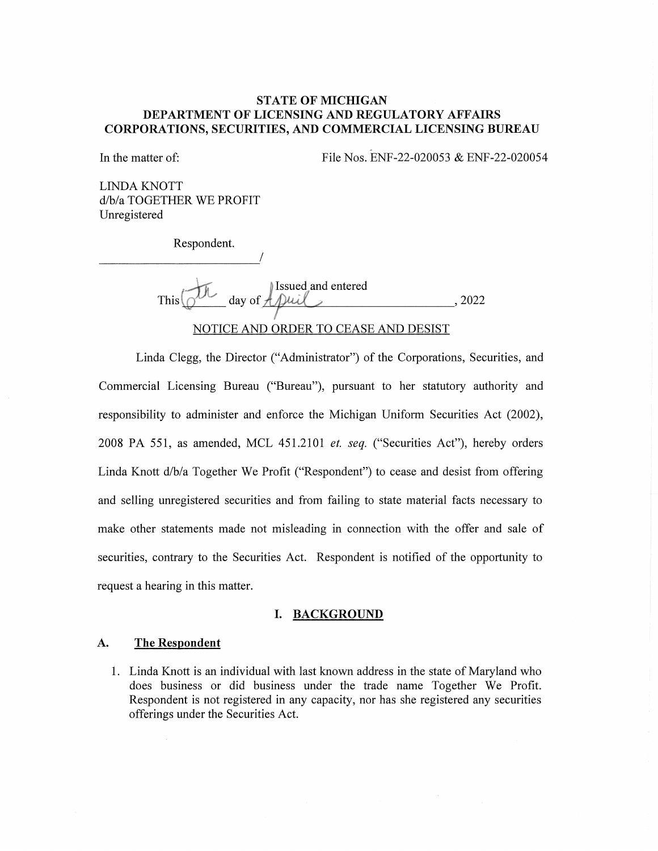# STATE OF MICHIGAN DEPARTMENT OF LICENSING AND REGULATORY AFFAIRS CORPORATIONS, SECURITIES, AND COMMERCIAL LICENSING BUREAU

In the matter of: File Nos. ENF-22-020053 & ENF-22-020054

LINDA KNOTT d/b/a TOGETHER WE PROFIT Unregistered

Respondent.

This  $\bigcirc^{\mathcal{U}}$  day of Issued and entered , 2022

# NOTICE AND ORDER TO CEASE AND DESIST

Linda Clegg, the Director ("Administrator") of the Corporations, Securities, and Commercial Licensing Bureau ("Bureau"), pursuant to her statutory authority and responsibility to administer and enforce the Michigan Uniform Securities Act (2002), 2008 PA 551, as amended, MCL 451.2101 et. seq. ("Securities Act"), hereby orders Linda Knott d/b/a Together We Profit ("Respondent") to cease and desist from offering and selling unregistered securities and from failing to state material facts necessary to make other statements made not misleading in connection with the offer and sale of securities, contrary to the Securities Act. Respondent is notified of the opportunity to request a hearing in this matter.

#### I. BACKGROUND

## A. The Respondent

1. Linda Knott is an individual with last known address in the state of Maryland who does business or did business under the trade name Together We Profit. Respondent is not registered in any capacity, nor has she registered any securities offerings under the Securities Act.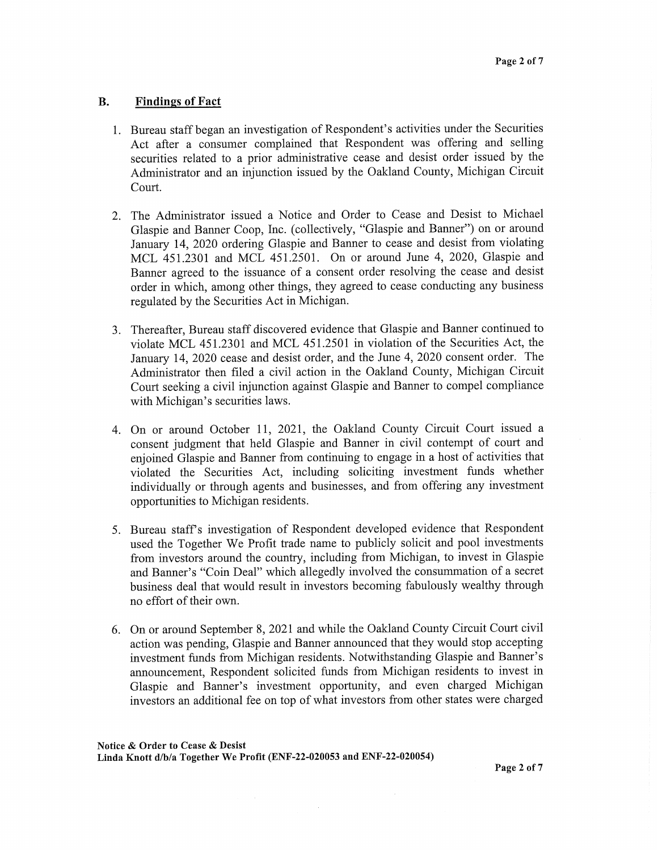# B. Findings of Fact

- 1. Bureau staff began an investigation of Respondent's activities under the Securities Act after a consumer complained that Respondent was offering and selling securities related to a prior administrative cease and desist order issued by the Administrator and an injunction issued by the Oakland County, Michigan Circuit Court.
- 2. The Administrator issued a Notice and Order to Cease and Desist to Michael Glaspie and Banner Coop, Inc. (collectively, "Glaspie and Banner") on or around January 14, 2020 ordering Glaspie and Banner to cease and desist from violating MCL 451.2301 and MCL 451.2501. On or around June 4, 2020, Glaspie and Banner agreed to the issuance of a consent order resolving the cease and desist order in which, among other things, they agreed to cease conducting any business regulated by the Securities Act in Michigan.
- 3. Thereafter, Bureau staff discovered evidence that Glaspie and Banner continued to violate MCL 451.2301 and MCL 451.2501 in violation of the Securities Act, the January 14, 2020 cease and desist order, and the June 4, 2020 consent order. The Administrator then filed a civil action in the Oakland County, Michigan Circuit Court seeking a civil injunction against Glaspie and Banner to compel compliance with Michigan's securities laws.
- 4. On or around October 11, 2021, the Oakland County Circuit Court issued a consent judgment that held Glaspie and Banner in civil contempt of court and enjoined Glaspie and Banner from continuing to engage in a host of activities that violated the Securities Act, including soliciting investment funds whether individually or through agents and businesses, and from offering any investment opportunities to Michigan residents.
- 5. Bureau staff's investigation of Respondent developed evidence that Respondent used the Together We Profit trade name to publicly solicit and pool investments from investors around the country, including from Michigan, to invest in Glaspie and Banner's "Coin Deal" which allegedly involved the consummation of a secret business deal that would result in investors becoming fabulously wealthy through no effort of their own.
- 6. On or around September 8, 2021 and while the Oakland County Circuit Court civil action was pending, Glaspie and Banner announced that they would stop accepting investment funds from Michigan residents. Notwithstanding Glaspie and Banner's announcement, Respondent solicited funds from Michigan residents to invest in Glaspie and Banner's investment opportunity, and even charged Michigan investors an additional fee on top of what investors from other states were charged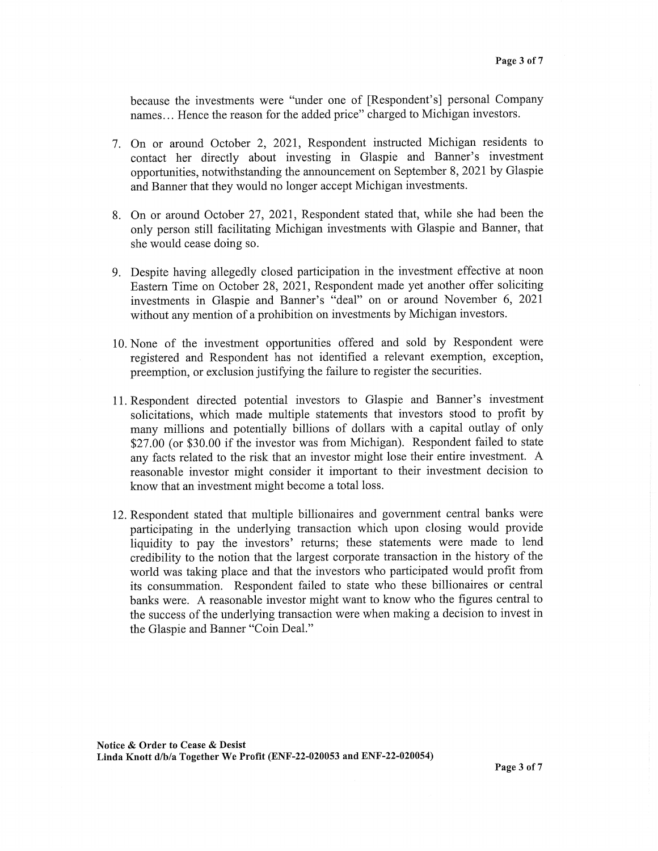because the investments were "under one of [Respondent's] personal Company names... Hence the reason for the added price" charged to Michigan investors.

- 7. On or around October 2, 2021, Respondent instructed Michigan residents to contact her directly about investing in Glaspie and Banner's investment opportunities, notwithstanding the announcement on September 8, 2021 by Glaspie and Banner that they would no longer accept Michigan investments.
- 8. On or around October 27, 2021, Respondent stated that, while she had been the only person still facilitating Michigan investments with Glaspie and Banner, that she would cease doing so.
- 9. Despite having allegedly closed participation in the investment effective at noon Eastern Time on October 28, 2021, Respondent made yet another offer soliciting investments in Glaspie and Banner's "deal" on or around November 6, 2021 without any mention of a prohibition on investments by Michigan investors.
- 10. None of the investment opportunities offered and sold by Respondent were registered and Respondent has not identified a relevant exemption, exception, preemption, or exclusion justifying the failure to register the securities.
- 11. Respondent directed potential investors to Glaspie and Banner's investment solicitations, which made multiple statements that investors stood to profit by many millions and potentially billions of dollars with a capital outlay of only \$27.00 (or \$30.00 if the investor was from Michigan). Respondent failed to state any facts related to the risk that an investor might lose their entire investment. A reasonable investor might consider it important to their investment decision to know that an investment might become a total loss.
- 12. Respondent stated that multiple billionaires and government central banks were participating in the underlying transaction which upon closing would provide liquidity to pay the investors' returns; these statements were made to lend credibility to the notion that the largest corporate transaction in the history of the world was taking place and that the investors who participated would profit from its consummation. Respondent failed to state who these billionaires or central banks were. A reasonable investor might want to know who the figures central to the success of the underlying transaction were when making a decision to invest in the Glaspie and Banner "Coin Deal."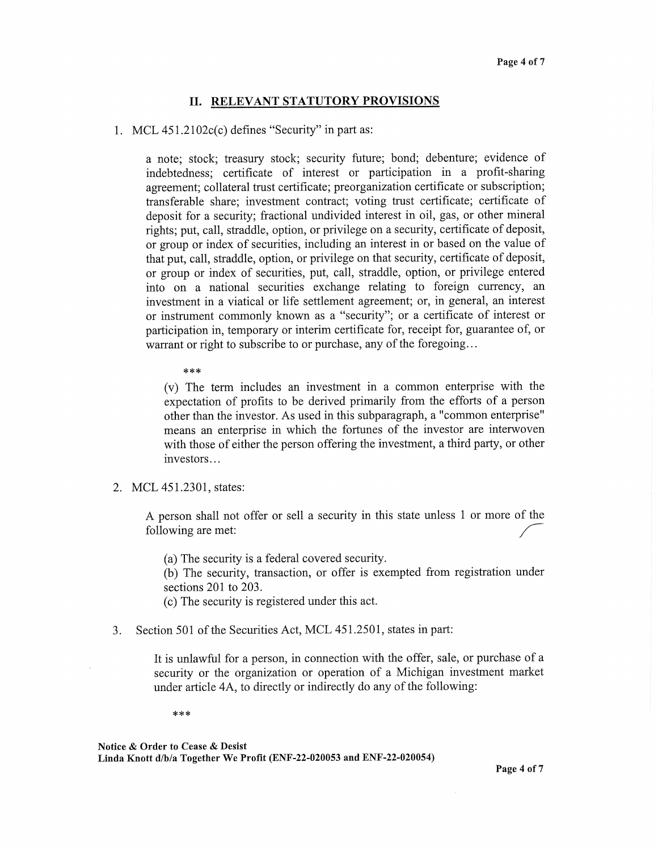## II. RELEVANT STATUTORY PROVISIONS

### 1. MCL 451.2102c(c) defines "Security" in part as:

a note; stock; treasury stock; security future; bond; debenture; evidence of indebtedness; certificate of interest or participation in a profit-sharing agreement; collateral trust certificate; preorganization certificate or subscription; transferable share; investment contract; voting trust certificate; certificate of deposit for a security; fractional undivided interest in oil, gas, or other mineral rights; put, call, straddle, option, or privilege on a security, certificate of deposit, or group or index of securities, including an interest in or based on the value of that put, call, straddle, option, or privilege on that security, certificate of deposit, or group or index of securities, put, call, straddle, option, or privilege entered into on a national securities exchange relating to foreign currency, an investment in a viatical or life settlement agreement; or, in general, an interest or instrument commonly known as a "security"; or a certificate of interest or participation in, temporary or interim certificate for, receipt for, guarantee of, or warrant or right to subscribe to or purchase, any of the foregoing...

\*\*\*

(v) The term includes an investment in a common enterprise with the expectation of profits to be derived primarily from the efforts of a person other than the investor. As used in this subparagraph, a "common enterprise" means an enterprise in which the fortunes of the investor are interwoven with those of either the person offering the investment, a third party, or other investors...

2. MCL 451.2301, states:

A person shall not offer or sell a security in this state unless 1 or more of the following are met:

(a) The security is a federal covered security.

(b) The security, transaction, or offer is exempted from registration under sections 201 to 203.

- (c) The security is registered under this act.
- 3. Section 501 of the Securities Act, MCL 451.2501, states in part:

It is unlawful for a person, in connection with the offer, sale, or purchase of a security or the organization or operation of a Michigan investment market under article 4A, to directly or indirectly do any of the following:

\*\*\*

Notice & Order to Cease & Desist Linda Knott d/b/a Together We Profit (ENF-22-020053 and ENF-22-020054)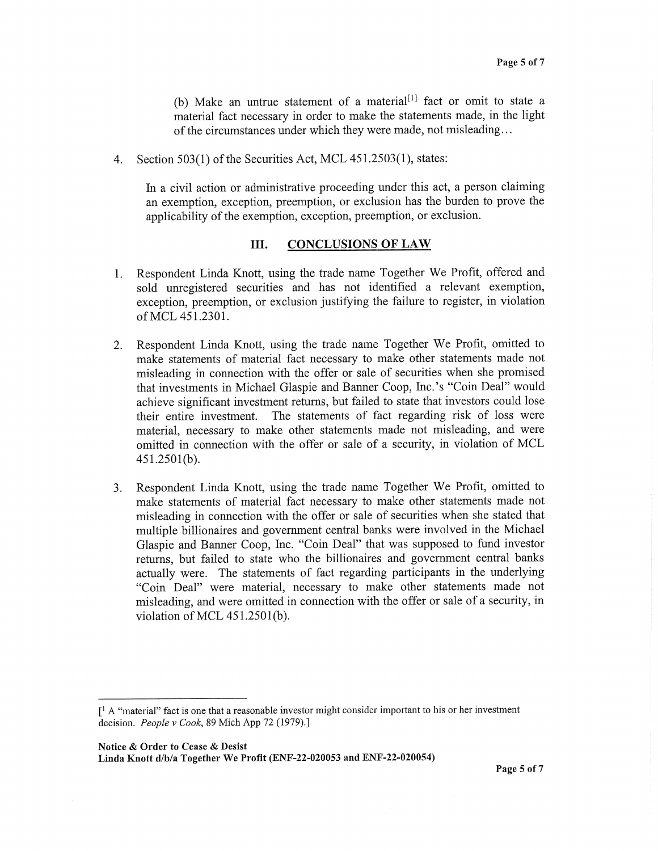(b) Make an untrue statement of a material<sup>[1]</sup> fact or omit to state a material fact necessary in order to make the statements made, in the light of the circumstances under which they were made, not misleading.. .

4. Section 503(1) of the Securities Act, MCL 451.2503(1), states:

In a civil action or administrative proceeding under this act, a person claiming an exemption, exception, preemption, or exclusion has the burden to prove the applicability of the exemption, exception, preemption, or exclusion.

## III. CONCLUSIONS OF LAW

- 1. Respondent Linda Knott, using the trade name Together We Profit, offered and sold unregistered securities and has not identified a relevant exemption, exception, preemption, or exclusion justifying the failure to register, in violation of MCL 451.2301.
- 2. Respondent Linda Knott, using the trade name Together We Profit, omitted to make statements of material fact necessary to make other statements made not misleading in connection with the offer or sale of securities when she promised that investments in Michael Glaspie and Banner Coop, Inc.'s "Coin Deal" would achieve significant investment returns, but failed to state that investors could lose their entire investment. The statements of fact regarding risk of loss were material, necessary to make other statements made not misleading, and were omitted in connection with the offer or sale of a security, in violation of MCL 451.2501(b).
- 3. Respondent Linda Knott, using the trade name Together We Profit, omitted to make statements of material fact necessary to make other statements made not misleading in connection with the offer or sale of securities when she stated that multiple billionaires and government central banks were involved in the Michael Glaspie and Banner Coop, Inc. "Coin Deal" that was supposed to fund investor returns, but failed to state who the billionaires and government central banks actually were. The statements of fact regarding participants in the underlying "Coin Deal" were material, necessary to make other statements made not misleading, and were omitted in connection with the offer or sale of a security, in violation of MCL 451.2501(b).

 $\int_1^1 A$  "material" fact is one that a reasonable investor might consider important to his or her investment decision. People v Cook, 89 Mich App 72 (1979).]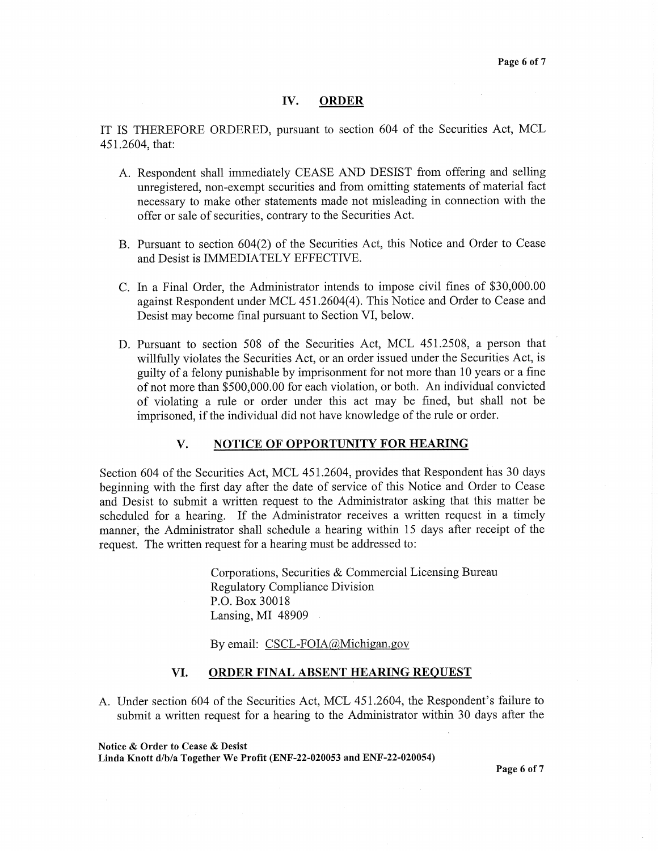#### IV. ORDER

IT IS THEREFORE ORDERED, pursuant to section 604 of the Securities Act, MCL 451.2604, that:

- A. Respondent shall immediately CEASE AND DESIST from offering and selling unregistered, non-exempt securities and from omitting statements of material fact necessary to make other statements made not misleading in connection with the offer or sale of securities, contrary to the Securities Act.
- B. Pursuant to section 604(2) of the Securities Act, this Notice and Order to Cease and Desist is IMMEDIATELY EFFECTIVE.
- C. In a Final Order, the Administrator intends to impose civil fines of \$30,000.00 against Respondent under MCL 451.2604(4). This Notice and Order to Cease and Desist may become final pursuant to Section VI, below.
- D. Pursuant to section 508 of the Securities Act, MCL 451.2508, a person that willfully violates the Securities Act, or an order issued under the Securities Act, is guilty of a felony punishable by imprisonment for not more than 10 years or a fine of not more than \$500,000.00 for each violation, or both. An individual convicted of violating a rule or order under this act may be fined, but shall not be imprisoned, if the individual did not have knowledge of the rule or order.

#### V. NOTICE OF OPPORTUNITY FOR HEARING

Section 604 of the Securities Act, MCL 451.2604, provides that Respondent has 30 days beginning with the first day after the date of service of this Notice and Order to Cease and Desist to submit a written request to the Administrator asking that this matter be scheduled for a hearing. If the Administrator receives a written request in a timely manner, the Administrator shall schedule a hearing within 15 days after receipt of the request. The written request for a hearing must be addressed to:

> Corporations, Securities & Commercial Licensing Bureau Regulatory Compliance Division P.O. Box 30018 Lansing, MI 48909

By email: CSCL-FOIA@Michigan.gov

#### VI. ORDER FINAL ABSENT HEARING REQUEST

A. Under section 604 of the Securities Act, MCL 451.2604, the Respondent's failure to submit a written request for a hearing to the Administrator within 30 days after the

Notice & Order to Cease & Desist

Linda Knott d/b/a Together We Profit (ENF-22-020053 and ENF-22-020054)